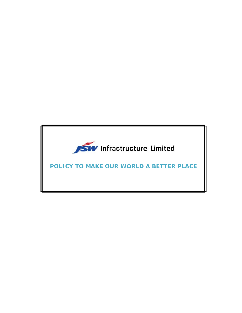

**POLICY TO MAKE OUR WORLD A BETTER PLACE**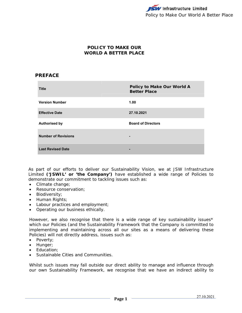## **POLICY TO MAKE OUR WORLD A BETTER PLACE**

## **PREFACE**

| <b>Title</b>               | Policy to Make Our World A<br><b>Better Place</b> |
|----------------------------|---------------------------------------------------|
| <b>Version Number</b>      | 1.00                                              |
| <b>Effective Date</b>      | 27.10.2021                                        |
| <b>Authorised by</b>       | <b>Board of Directors</b>                         |
| <b>Number of Revisions</b> | -                                                 |
| <b>Last Revised Date</b>   | -                                                 |

As part of our efforts to deliver our Sustainability Vision, we at JSW Infrastructure Limited **('JSWIL' or 'the Company')** have established a wide range of Policies to demonstrate our commitment to tackling issues such as:

- Climate change;
- Resource conservation;
- **•** Biodiversity;
- Human Rights;
- Labour practices and employment;
- Operating our business ethically.

However, we also recognise that there is a wide range of key sustainability issues\* which our Policies (and the Sustainability Framework that the Company is committed to implementing and maintaining across all our sites as a means of delivering these Policies) will not directly address, issues such as:

- Poverty;
- Hunger;
- Education:
- Sustainable Cities and Communities.

Whilst such issues may fall outside our direct ability to manage and influence through our own Sustainability Framework, we recognise that we have an indirect ability to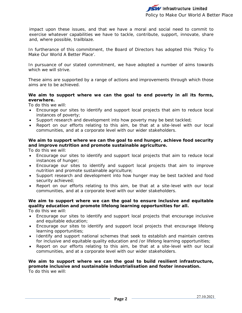impact upon these issues, and that we have a moral and social need to commit to exercise whatever capabilities we have to tackle, contribute, support, innovate, share and, where possible, trailblaze.

In furtherance of this commitment, the Board of Directors has adopted this 'Policy To Make Our World A Better Place'.

In pursuance of our stated commitment, we have adopted a number of aims towards which we will strive.

These aims are supported by a range of actions and improvements through which those aims are to be achieved.

#### **We aim to support where we can the goal to end poverty in all its forms, everwhere.**

To do this we will:

- Encourage our sites to identify and support local projects that aim to reduce local instances of poverty;
- Support research and development into how poverty may be best tackled;
- Report on our efforts relating to this aim, be that at a site-level with our local communities, and at a corporate level with our wider stakeholders.

### **We aim to support where we can the goal to end hunger, achieve food security and improve nutrition and promote sustainable agriculture.**

To do this we will:

- Encourage our sites to identify and support local projects that aim to reduce local instances of hunger;
- Encourage our sites to identify and support local projects that aim to improve nutrition and promote sustainable agriculture;
- Support research and development into how hunger may be best tackled and food security achieved;
- Report on our efforts relating to this aim, be that at a site-level with our local communities, and at a corporate level with our wider stakeholders.

### **We aim to support where we can the goal to ensure inclusive and equitable quality education and promote lifelong learning opportunities for all.**

To do this we will:

- Encourage our sites to identify and support local projects that encourage inclusive and equitable education;
- Encourage our sites to identify and support local projects that encourage lifelong learning opportunities;
- Identify and support national schemes that seek to establish and maintain centres for inclusive and equitable quality education and /or lifelong learning opportunities;
- Report on our efforts relating to this aim, be that at a site-level with our local communities, and at a corporate level with our wider stakeholders.

#### **We aim to support where we can the goal to build resilient infrastructure, promote inclusive and sustainable industrialisation and foster innovation.**  To do this we will: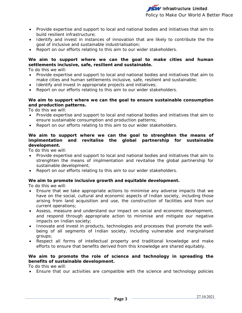- Provide expertise and support to local and national bodies and initiatives that aim to build resilient infrastructure;
- Identify and invest in instances of innovation that are likely to contribute the the goal of inclusive and sustainable industrialisation;
- Report on our efforts relating to this aim to our wider stakeholders.

#### **We aim to support where we can the goal to make cities and human settlements inclusive, safe, resilient and sustainable.**

To do this we will:

- Provide expertise and support to local and national bodies and initiatives that aim to make cities and human settlements inclusive, safe, resilient and sustainable;
- Identify and invest in appropriate projects and initiatives;
- Report on our efforts relating to this aim to our wider stakeholders.

#### **We aim to support where we can the goal to ensure sustainable consumption and production patterns.**

To do this we will:

- Provide expertise and support to local and national bodies and initiatives that aim to ensure sustainable consumption and production patterns;
- Report on our efforts relating to this aim to our wider stakeholders.

#### **We aim to support where we can the goal to strenghten the means of implmentation and revitalise the global partnership for sustainable development.**

To do this we will:

- Provide expertise and support to local and national bodies and initiatives that aim to strenghten the means of implmentation and revitalise the global partnership for sustainable development;
- Report on our efforts relating to this aim to our wider stakeholders.

#### **We aim to promote inclusive growth and equitable development.**

To do this we will:

- Ensure that we take appropriate actions to minimise any adverse impacts that we have on the social, cultural and economic aspects of Indian society, including those arising from land acquisition and use, the construction of facilities and from our current operations;
- Assess, measure and understand our impact on social and economic development, and respond through appropriate action to minimise and mitigate our negative impacts on Indian society;
- Innovate and invest in products, technologies and processes that promote the wellbeing of all segments of Indian society, including vulnerable and marginalised groups;
- Respect all forms of intellectual property and traditional knowledge and make efforts to ensure that benefits derived from this knowledge are shared equitably.

#### **We aim to promote the role of science and technology in spreading the benefits of sustainable development.**

To do this we will:

Ensure that our activities are compatible with the science and technology policies